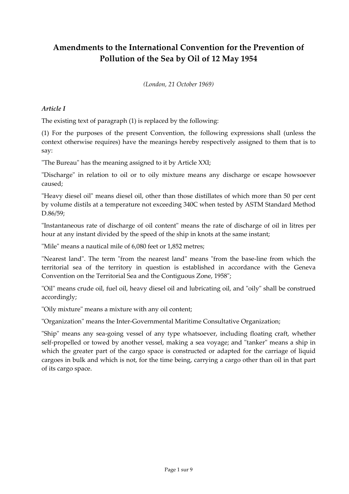# **Amendments to the International Convention for the Prevention of Pollution of the Sea by Oil of 12 May 1954**

*(London, 21 October 1969)*

#### *Article I*

The existing text of paragraph (1) is replaced by the following:

(1) For the purposes of the present Convention, the following expressions shall (unless the context otherwise requires) have the meanings hereby respectively assigned to them that is to say:

"The Bureau" has the meaning assigned to it by Article XXI;

"Discharge" in relation to oil or to oily mixture means any discharge or escape howsoever caused;

"Heavy diesel oil" means diesel oil, other than those distillates of which more than 50 per cent by volume distils at a temperature not exceeding 340C when tested by ASTM Standard Method D.86/59;

"Instantaneous rate of discharge of oil content" means the rate of discharge of oil in litres per hour at any instant divided by the speed of the ship in knots at the same instant;

"Mile" means a nautical mile of 6,080 feet or 1,852 metres;

"Nearest land". The term "from the nearest land" means "from the base-line from which the territorial sea of the territory in question is established in accordance with the Geneva Convention on the Territorial Sea and the Contiguous Zone, 1958ʺ;

"Oil" means crude oil, fuel oil, heavy diesel oil and lubricating oil, and "oily" shall be construed accordingly;

ʺOily mixtureʺ means a mixture with any oil content;

"Organization" means the Inter-Governmental Maritime Consultative Organization;

"Ship" means any sea-going vessel of any type whatsoever, including floating craft, whether self-propelled or towed by another vessel, making a sea voyage; and "tanker" means a ship in which the greater part of the cargo space is constructed or adapted for the carriage of liquid cargoes in bulk and which is not, for the time being, carrying a cargo other than oil in that part of its cargo space.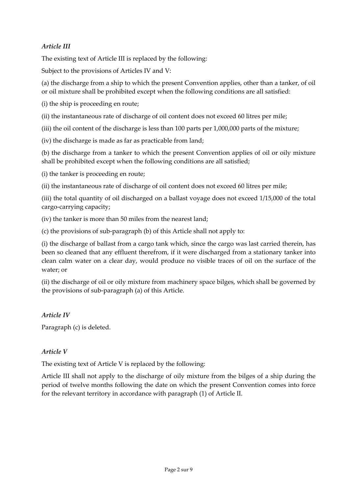## *Article III*

The existing text of Article III is replaced by the following:

Subject to the provisions of Articles IV and V:

(a) the discharge from a ship to which the present Convention applies, other than a tanker, of oil or oil mixture shall be prohibited except when the following conditions are all satisfied:

(i) the ship is proceeding en route;

(ii) the instantaneous rate of discharge of oil content does not exceed 60 litres per mile;

(iii) the oil content of the discharge is less than 100 parts per 1,000,000 parts of the mixture;

(iv) the discharge is made as far as practicable from land;

(b) the discharge from a tanker to which the present Convention applies of oil or oily mixture shall be prohibited except when the following conditions are all satisfied;

(i) the tanker is proceeding en route;

(ii) the instantaneous rate of discharge of oil content does not exceed 60 litres per mile;

(iii) the total quantity of oil discharged on a ballast voyage does not exceed 1/15,000 of the total cargo‐carrying capacity;

(iv) the tanker is more than 50 miles from the nearest land;

(c) the provisions of sub‐paragraph (b) of this Article shall not apply to:

(i) the discharge of ballast from a cargo tank which, since the cargo was last carried therein, has been so cleaned that any effluent therefrom, if it were discharged from a stationary tanker into clean calm water on a clear day, would produce no visible traces of oil on the surface of the water; or

(ii) the discharge of oil or oily mixture from machinery space bilges, which shall be governed by the provisions of sub‐paragraph (a) of this Article.

## *Article IV*

Paragraph (c) is deleted.

## *Article V*

The existing text of Article V is replaced by the following:

Article III shall not apply to the discharge of oily mixture from the bilges of a ship during the period of twelve months following the date on which the present Convention comes into force for the relevant territory in accordance with paragraph (1) of Article II.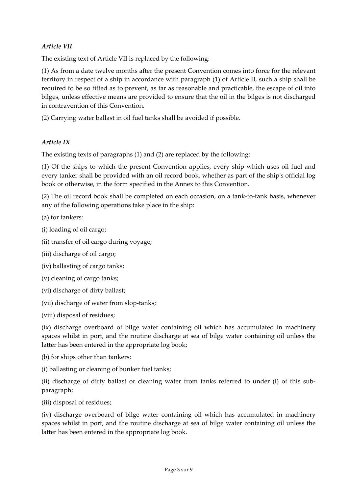## *Article VII*

The existing text of Article VII is replaced by the following:

(1) As from a date twelve months after the present Convention comes into force for the relevant territory in respect of a ship in accordance with paragraph (1) of Article II, such a ship shall be required to be so fitted as to prevent, as far as reasonable and practicable, the escape of oil into bilges, unless effective means are provided to ensure that the oil in the bilges is not discharged in contravention of this Convention.

(2) Carrying water ballast in oil fuel tanks shall be avoided if possible.

#### *Article IX*

The existing texts of paragraphs (1) and (2) are replaced by the following:

(1) Of the ships to which the present Convention applies, every ship which uses oil fuel and every tanker shall be provided with an oil record book, whether as part of the shipʹs official log book or otherwise, in the form specified in the Annex to this Convention.

(2) The oil record book shall be completed on each occasion, on a tank-to-tank basis, whenever any of the following operations take place in the ship:

(a) for tankers:

- (i) loading of oil cargo;
- (ii) transfer of oil cargo during voyage;
- (iii) discharge of oil cargo;
- (iv) ballasting of cargo tanks;
- (v) cleaning of cargo tanks;
- (vi) discharge of dirty ballast;
- (vii) discharge of water from slop‐tanks;
- (viii) disposal of residues;

(ix) discharge overboard of bilge water containing oil which has accumulated in machinery spaces whilst in port, and the routine discharge at sea of bilge water containing oil unless the latter has been entered in the appropriate log book;

- (b) for ships other than tankers:
- (i) ballasting or cleaning of bunker fuel tanks;

(ii) discharge of dirty ballast or cleaning water from tanks referred to under (i) of this sub‐ paragraph;

(iii) disposal of residues;

(iv) discharge overboard of bilge water containing oil which has accumulated in machinery spaces whilst in port, and the routine discharge at sea of bilge water containing oil unless the latter has been entered in the appropriate log book.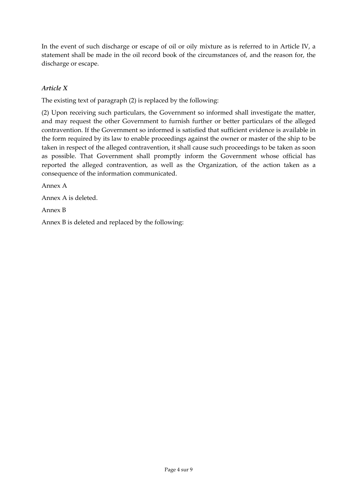In the event of such discharge or escape of oil or oily mixture as is referred to in Article IV, a statement shall be made in the oil record book of the circumstances of, and the reason for, the discharge or escape.

## *Article X*

The existing text of paragraph (2) is replaced by the following:

(2) Upon receiving such particulars, the Government so informed shall investigate the matter, and may request the other Government to furnish further or better particulars of the alleged contravention. If the Government so informed is satisfied that sufficient evidence is available in the form required by its law to enable proceedings against the owner or master of the ship to be taken in respect of the alleged contravention, it shall cause such proceedings to be taken as soon as possible. That Government shall promptly inform the Government whose official has reported the alleged contravention, as well as the Organization, of the action taken as a consequence of the information communicated.

Annex A

Annex A is deleted.

Annex B

Annex B is deleted and replaced by the following: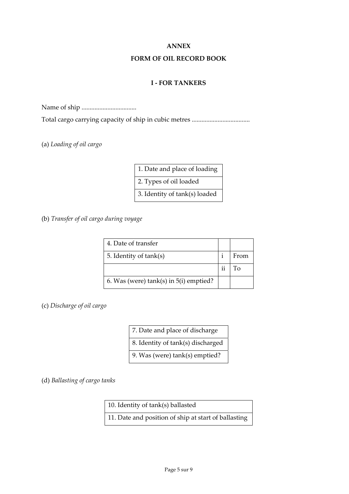#### **ANNEX**

#### **FORM OF OIL RECORD BOOK**

#### **I ‐ FOR TANKERS**

Name of ship ..................................

Total cargo carrying capacity of ship in cubic metres ....................................

(a) *Loading of oil cargo*

1. Date and place of loading

2. Types of oil loaded

3. Identity of tank(s) loaded

(b) *Transfer of oil cargo during voyage*

| 4. Date of transfer                        |    |      |
|--------------------------------------------|----|------|
| 5. Identity of $tank(s)$                   |    | From |
|                                            | ŤŤ | Tο   |
| 6. Was (were) $tank(s)$ in $5(i)$ emptied? |    |      |

## (c) *Discharge of oil cargo*

| 7. Date and place of discharge    |
|-----------------------------------|
| 8. Identity of tank(s) discharged |
| 9. Was (were) tank(s) emptied?    |

(d) *Ballasting of cargo tanks*

| 10. Identity of tank(s) ballasted                    |
|------------------------------------------------------|
| 11. Date and position of ship at start of ballasting |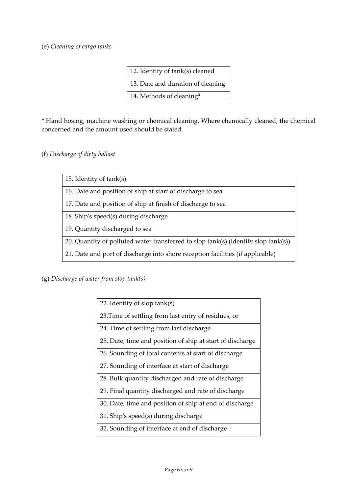## (e) *Cleaning of cargo tanks*

12. Identity of tank(s) cleaned

13. Date and duration of cleaning

14. Methods of cleaning\*

\* Hand hosing, machine washing or chemical cleaning. Where chemically cleaned, the chemical concerned and the amount used should be stated.

## (f) *Discharge of dirty ballast*

| 15. Identity of $tank(s)$                                                          |
|------------------------------------------------------------------------------------|
| 16. Date and position of ship at start of discharge to sea                         |
| 17. Date and position of ship at finish of discharge to sea                        |
| 18. Ship's speed(s) during discharge                                               |
| 19. Quantity discharged to sea                                                     |
| 20. Quantity of polluted water transferred to slop tank(s) (identify slop tank(s)) |
| 21. Date and port of discharge into shore reception facilities (if applicable)     |

(g) *Discharge of water from slop tank(s)*

| 22. Identity of slop tank(s)                              |
|-----------------------------------------------------------|
| 23. Time of settling from last entry of residues, or      |
| 24. Time of settling from last discharge                  |
| 25. Date, time and position of ship at start of discharge |
| 26. Sounding of total contents at start of discharge      |
| 27. Sounding of interface at start of discharge           |
| 28. Bulk quantity discharged and rate of discharge        |
| 29. Final quantity discharged and rate of discharge       |
| 30. Date, time and position of ship at end of discharge   |
| 31. Ship's speed(s) during discharge                      |
| 32. Sounding of interface at end of discharge             |
|                                                           |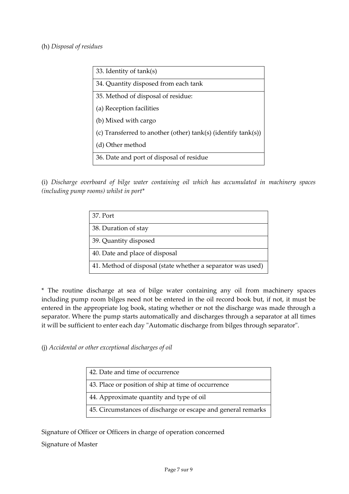| 33. Identity of tank(s)                                            |
|--------------------------------------------------------------------|
| 34. Quantity disposed from each tank                               |
| 35. Method of disposal of residue:                                 |
| (a) Reception facilities                                           |
| (b) Mixed with cargo                                               |
| (c) Transferred to another (other) $tank(s)$ (identify $tank(s)$ ) |
| (d) Other method                                                   |
| 36. Date and port of disposal of residue                           |

(i) *Discharge overboard of bilge water containing oil which has accumulated in machinery spaces (including pump rooms) whilst in port\**

| 37. Port                                                    |
|-------------------------------------------------------------|
| 38. Duration of stay                                        |
| 39. Quantity disposed                                       |
| 40. Date and place of disposal                              |
| 41. Method of disposal (state whether a separator was used) |

\* The routine discharge at sea of bilge water containing any oil from machinery spaces including pump room bilges need not be entered in the oil record book but, if not, it must be entered in the appropriate log book, stating whether or not the discharge was made through a separator. Where the pump starts automatically and discharges through a separator at all times it will be sufficient to enter each day "Automatic discharge from bilges through separator".

(j) *Accidental or other exceptional discharges of oil*

| 42. Date and time of occurrence                              |
|--------------------------------------------------------------|
| 43. Place or position of ship at time of occurrence          |
| 44. Approximate quantity and type of oil                     |
| 45. Circumstances of discharge or escape and general remarks |

Signature of Officer or Officers in charge of operation concerned

#### Signature of Master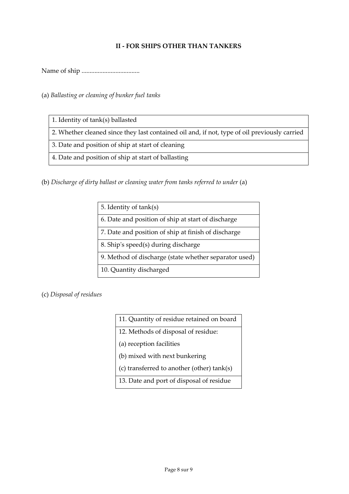## **II ‐ FOR SHIPS OTHER THAN TANKERS**

Name of ship ....................................

(a) *Ballasting or cleaning of bunker fuel tanks*

| 1. Identity of tank(s) ballasted                                                             |
|----------------------------------------------------------------------------------------------|
| 2. Whether cleaned since they last contained oil and, if not, type of oil previously carried |
| 3. Date and position of ship at start of cleaning                                            |
| 4. Date and position of ship at start of ballasting                                          |

(b) *Discharge of dirty ballast or cleaning water from tanks referred to under* (a)

| 5. Identity of $tank(s)$                              |
|-------------------------------------------------------|
| 6. Date and position of ship at start of discharge    |
| 7. Date and position of ship at finish of discharge   |
| 8. Ship's speed(s) during discharge                   |
| 9. Method of discharge (state whether separator used) |
| 10. Quantity discharged                               |

(c) *Disposal of residues*

- 11. Quantity of residue retained on board
- 12. Methods of disposal of residue:

(a) reception facilities

(b) mixed with next bunkering

- (c) transferred to another (other) tank(s)
- 13. Date and port of disposal of residue